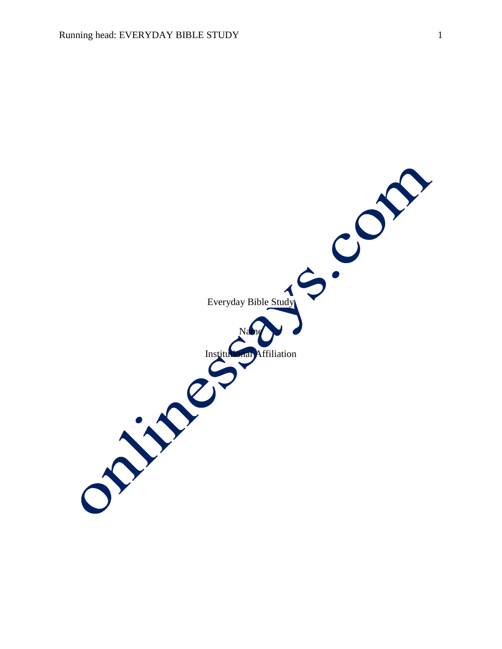Everyday Bible Study Name Institutional Affiliation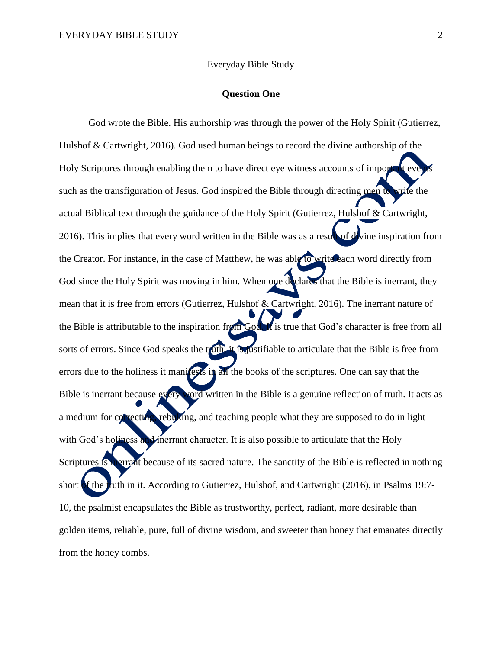Everyday Bible Study

## **Question One**

God wrote the Bible. His authorship was through the power of the Holy Spirit (Gutierrez, Hulshof & Cartwright, 2016). God used human beings to record the divine authorship of the Holy Scriptures through enabling them to have direct eye witness accounts of import such as the transfiguration of Jesus. God inspired the Bible through directing men to write the actual Biblical text through the guidance of the Holy Spirit (Gutierrez, Hulshof & Cartwright, 2016). This implies that every word written in the Bible was as a result of divine inspiration from the Creator. For instance, in the case of Matthew, he was able to write each word directly from God since the Holy Spirit was moving in him. When one declares that the Bible is inerrant, they mean that it is free from errors (Gutierrez, Hulshof & Cartwright, 2016). The inerrant nature of the Bible is attributable to the inspiration from God. It is true that God's character is free from all sorts of errors. Since God speaks the truth, it is justifiable to articulate that the Bible is free from errors due to the holiness it manifests in all the books of the scriptures. One can say that the Bible is inerrant because every word written in the Bible is a genuine reflection of truth. It acts as a medium for correcting, rebuking, and teaching people what they are supposed to do in light with God's holiness and inerrant character. It is also possible to articulate that the Holy Scriptures is interrant because of its sacred nature. The sanctity of the Bible is reflected in nothing short of the truth in it. According to Gutierrez, Hulshof, and Cartwright (2016), in Psalms 19:7-10, the psalmist encapsulates the Bible as trustworthy, perfect, radiant, more desirable than golden items, reliable, pure, full of divine wisdom, and sweeter than honey that emanates directly from the honey combs.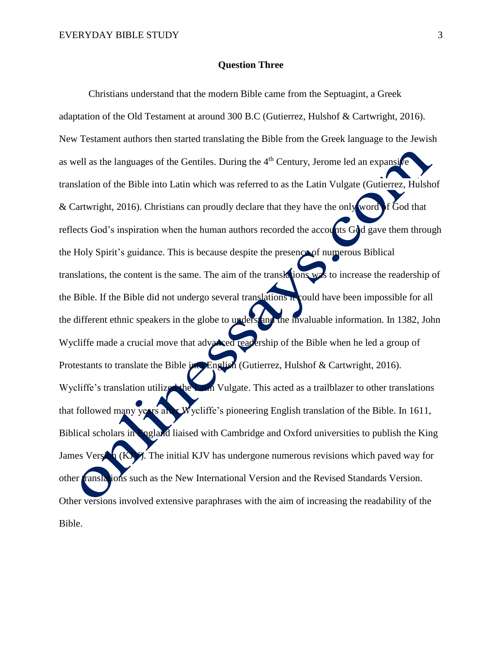## **Question Three**

Christians understand that the modern Bible came from the Septuagint, a Greek adaptation of the Old Testament at around 300 B.C (Gutierrez, Hulshof & Cartwright, 2016). New Testament authors then started translating the Bible from the Greek language to the Jewish as well as the languages of the Gentiles. During the  $4<sup>th</sup>$  Century, Jerome led an expansive translation of the Bible into Latin which was referred to as the Latin Vulgate (Gutierrez, Hulshof & Cartwright, 2016). Christians can proudly declare that they have the only word of God that reflects God's inspiration when the human authors recorded the accounts God gave them through the Holy Spirit's guidance. This is because despite the presence of numerous Biblical translations, the content is the same. The aim of the translations was to increase the readership of the Bible. If the Bible did not undergo several translations it could have been impossible for all the different ethnic speakers in the globe to understand the invaluable information. In 1382, John Wycliffe made a crucial move that advanced readership of the Bible when he led a group of Protestants to translate the Bible *into* English (Gutierrez, Hulshof & Cartwright, 2016). Wycliffe's translation utilized the Latin Vulgate. This acted as a trailblazer to other translations that followed many years after Wycliffe's pioneering English translation of the Bible. In 1611, Biblical scholars in England liaised with Cambridge and Oxford universities to publish the King James Version (KJV). The initial KJV has undergone numerous revisions which paved way for other translations such as the New International Version and the Revised Standards Version. Other versions involved extensive paraphrases with the aim of increasing the readability of the Bible.